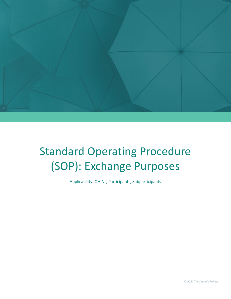

# Standard Operating Procedure (SOP): Exchange Purposes

Applicability: QHINs, Participants, Subparticipants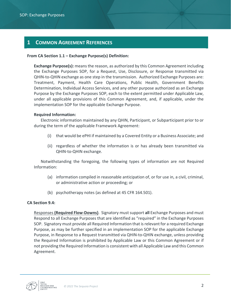## **1 COMMON AGREEMENT REFERENCES**

#### **From CA Section 1.1 – Exchange Purpose(s) Definition:**

**Exchange Purpose(s):** means the reason, as authorized by this Common Agreement including the Exchange Purposes SOP, for a Request, Use, Disclosure, or Response transmitted via QHIN-to-QHIN exchange as one step in the transmission. Authorized Exchange Purposes are: Treatment, Payment, Health Care Operations, Public Health, Government Benefits Determination, Individual Access Services, and any other purpose authorized as an Exchange Purpose by the Exchange Purposes SOP, each to the extent permitted under Applicable Law, under all applicable provisions of this Common Agreement, and, if applicable, under the implementation SOP for the applicable Exchange Purpose.

#### **Required Information:**

Electronic information maintained by any QHIN, Participant, or Subparticipant prior to or during the term of the applicable Framework Agreement:

- (i) that would be ePHI if maintained by a Covered Entity or a Business Associate; and
- (ii) regardless of whether the information is or has already been transmitted via QHIN-to-QHIN exchange.

Notwithstanding the foregoing, the following types of information are not Required Information:

- (a) information compiled in reasonable anticipation of, or for use in, a civil, criminal, or administrative action or proceeding; or
- (b) psychotherapy notes (as defined at 45 CFR 164.501).

#### **CA Section 9.4:**

Responses **(Required Flow-Downs)**. Signatory must support **all** Exchange Purposes and must Respond to all Exchange Purposes that are identified as "required" in the Exchange Purposes SOP. Signatory must provide all Required Information that is relevant for a required Exchange Purpose, as may be further specified in an implementation SOP for the applicable Exchange Purpose, in Response to a Request transmitted via QHIN-to-QHIN exchange, unless providing the Required Information is prohibited by Applicable Law or this Common Agreement or if not providing the Required Information is consistent with all Applicable Law and this Common Agreement.

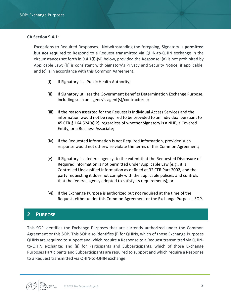#### **CA Section 9.4.1:**

Exceptions to Required Responses. Notwithstanding the foregoing, Signatory is **permitted but not required** to Respond to a Request transmitted via QHIN-to-QHIN exchange in the circumstances set forth in 9.4.1(i)-(vi) below, provided the Response: (a) is not prohibited by Applicable Law; (b) is consistent with Signatory's Privacy and Security Notice, if applicable; and (c) is in accordance with this Common Agreement.

- (i) If Signatory is a Public Health Authority;
- (ii) If Signatory utilizes the Government Benefits Determination Exchange Purpose, including such an agency's agent(s)/contractor(s);
- (iii) If the reason asserted for the Request is Individual Access Services and the information would not be required to be provided to an Individual pursuant to 45 CFR § 164.524(a)(2), regardless of whether Signatory is a NHE, a Covered Entity, or a Business Associate;
- (iv) If the Requested information is not Required Information, provided such response would not otherwise violate the terms of this Common Agreement;
- (v) If Signatory is a federal agency, to the extent that the Requested Disclosure of Required Information is not permitted under Applicable Law (e.g., it is Controlled Unclassified Information as defined at 32 CFR Part 2002, and the party requesting it does not comply with the applicable policies and controls that the federal agency adopted to satisfy its requirements); or
- (vi) If the Exchange Purpose is authorized but not required at the time of the Request, either under this Common Agreement or the Exchange Purposes SOP.

### **2 PURPOSE**

This SOP identifies the Exchange Purposes that are currently authorized under the Common Agreement or this SOP. This SOP also identifies (i) for QHINs, which of those Exchange Purposes QHINs are required to support and which require a Response to a Request transmitted via QHINto-QHIN exchange; and (ii) for Participants and Subparticipants, which of those Exchange Purposes Participants and Subparticipants are required to support and which require a Response to a Request transmitted via QHIN-to-QHIN exchange.

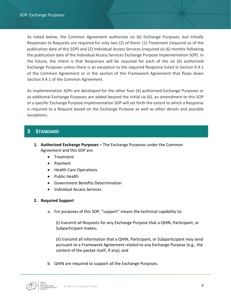As noted below, the Common Agreement authorizes six (6) Exchange Purposes, but initially Responses to Requests are required for only two (2) of them: (1) Treatment (required as of the publication date of this SOP) and (2) Individual Access Services (required six (6) months following the publication date of the Individual Access Services Exchange Purpose Implementation SOP). In the future, the intent is that Responses will be required for each of the six (6) authorized Exchange Purposes unless there is an exception to the required Response listed in Section 9.4.1 of the Common Agreement or in the section of the Framework Agreement that flows down Section 9.4.1 of the Common Agreement.

As implementation SOPs are developed for the other four (4) authorized Exchange Purposes or as additional Exchange Purposes are added beyond the initial six (6), an amendment to this SOP or a specific Exchange Purpose implementation SOP will set forth the extent to which a Response is required to a Request based on the Exchange Purpose as well as other details and possible exceptions.

## **3 STANDARD**

- **1. Authorized Exchange Purposes –** The Exchange Purposes under the Common Agreement and this SOP are:
	- Treatment
	- Payment
	- Health Care Operations
	- Public Health
	- Government Benefits Determination
	- Individual Access Services

#### **2. Required Support**

a. For purposes of this SOP, "support" means the technical capability to:

(i) transmit all Requests for any Exchange Purpose that a QHIN, Participant, or Subparticipant makes;

(ii) transmit all information that a QHIN, Participant, or Subparticipant may send pursuant to a Framework Agreement related to any Exchange Purpose (e.g., the content of the packet itself, if any); and

b. QHIN are required to support all the Exchange Purposes.